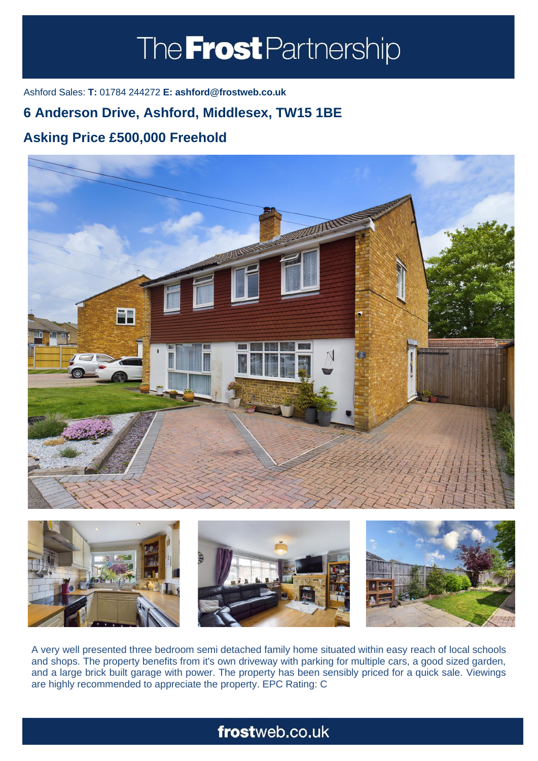# The **Frost** Partnership

Ashford Sales: **T:** 01784 244272 **E: ashford@frostweb.co.uk**

### **6 Anderson Drive, Ashford, Middlesex, TW15 1BE**

## **Asking Price £500,000 Freehold**





A very well presented three bedroom semi detached family home situated within easy reach of local schools and shops. The property benefits from it's own driveway with parking for multiple cars, a good sized garden, and a large brick built garage with power. The property has been sensibly priced for a quick sale. Viewings are highly recommended to appreciate the property. EPC Rating: C

# frostweb.co.uk